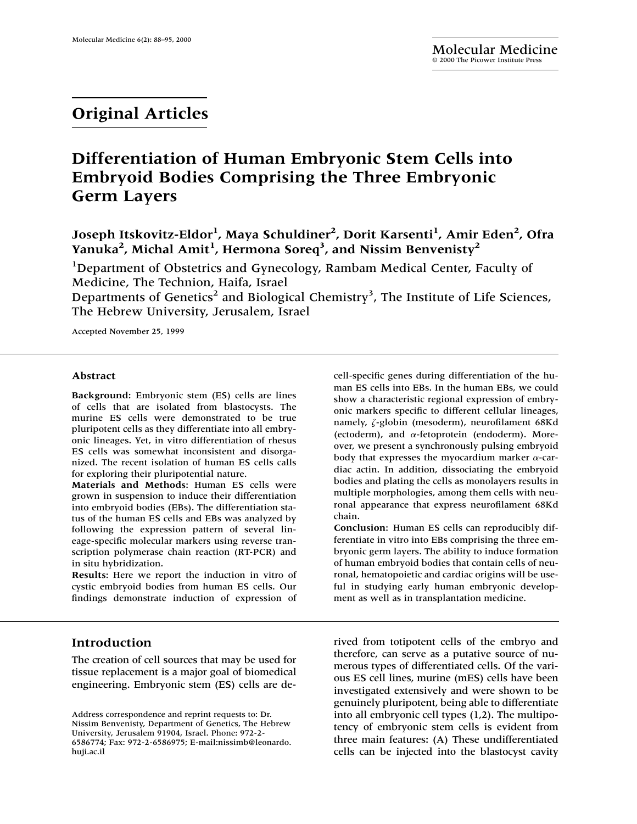# **Original Articles**

# **Differentiation of Human Embryonic Stem Cells into Embryoid Bodies Comprising the Three Embryonic Germ Layers**

Joseph Itskovitz-Eldor<sup>1</sup>, Maya Schuldiner<sup>2</sup>, Dorit Karsenti<sup>1</sup>, Amir Eden<sup>2</sup>, Ofra Yanuka<sup>2</sup>, Michal Amit<sup>1</sup>, Hermona Soreq<sup>3</sup>, and Nissim Benvenisty<sup>2</sup>

<sup>1</sup>Department of Obstetrics and Gynecology, Rambam Medical Center, Faculty of Medicine, The Technion, Haifa, Israel Departments of Genetics<sup>2</sup> and Biological Chemistry<sup>3</sup>, The Institute of Life Sciences, The Hebrew University, Jerusalem, Israel

Accepted November 25, 1999

#### **Abstract**

**Background:** Embryonic stem (ES) cells are lines of cells that are isolated from blastocysts. The murine ES cells were demonstrated to be true pluripotent cells as they differentiate into all embryonic lineages. Yet, in vitro differentiation of rhesus ES cells was somewhat inconsistent and disorganized. The recent isolation of human ES cells calls for exploring their pluripotential nature.

**Materials and Methods:** Human ES cells were grown in suspension to induce their differentiation into embryoid bodies (EBs). The differentiation status of the human ES cells and EBs was analyzed by following the expression pattern of several lineage-specific molecular markers using reverse transcription polymerase chain reaction (RT-PCR) and in situ hybridization.

**Results:** Here we report the induction in vitro of cystic embryoid bodies from human ES cells. Our findings demonstrate induction of expression of

# **Introduction**

The creation of cell sources that may be used for tissue replacement is a major goal of biomedical engineering. Embryonic stem (ES) cells are decell-specific genes during differentiation of the human ES cells into EBs. In the human EBs, we could show a characteristic regional expression of embryonic markers specific to different cellular lineages, namely,  $\zeta$ -globin (mesoderm), neurofilament 68Kd (ectoderm), and  $\alpha$ -fetoprotein (endoderm). Moreover, we present a synchronously pulsing embryoid body that expresses the myocardium marker  $\alpha$ -cardiac actin. In addition, dissociating the embryoid bodies and plating the cells as monolayers results in multiple morphologies, among them cells with neuronal appearance that express neurofilament 68Kd chain.

**Conclusion:** Human ES cells can reproducibly differentiate in vitro into EBs comprising the three embryonic germ layers. The ability to induce formation of human embryoid bodies that contain cells of neuronal, hematopoietic and cardiac origins will be useful in studying early human embryonic development as well as in transplantation medicine.

rived from totipotent cells of the embryo and therefore, can serve as a putative source of numerous types of differentiated cells. Of the various ES cell lines, murine (mES) cells have been investigated extensively and were shown to be genuinely pluripotent, being able to differentiate into all embryonic cell types (1,2). The multipotency of embryonic stem cells is evident from three main features: (A) These undifferentiated cells can be injected into the blastocyst cavity

Address correspondence and reprint requests to: Dr. Nissim Benvenisty, Department of Genetics, The Hebrew University, Jerusalem 91904, Israel. Phone: 972-2- 6586774; Fax: 972-2-6586975; E-mail:nissimb@leonardo. huji.ac.il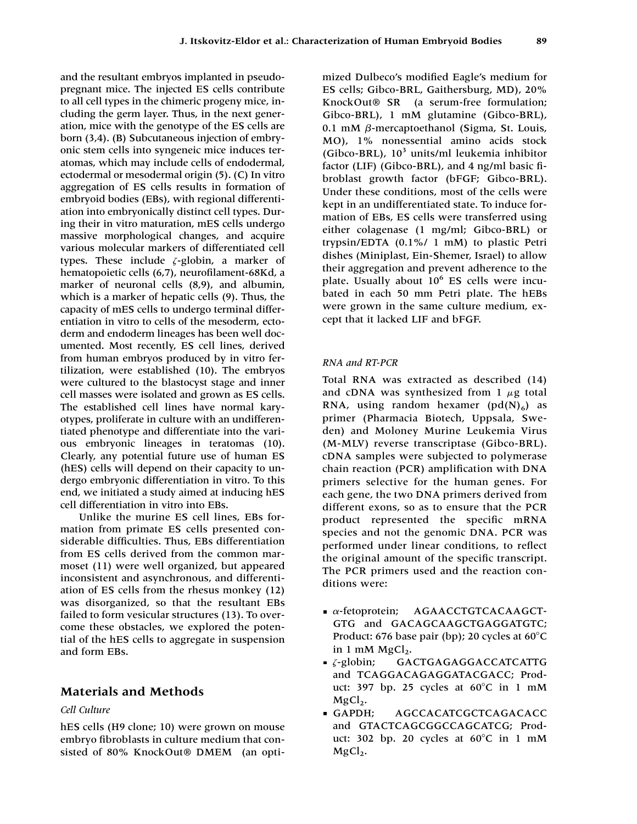and the resultant embryos implanted in pseudopregnant mice. The injected ES cells contribute to all cell types in the chimeric progeny mice, including the germ layer. Thus, in the next generation, mice with the genotype of the ES cells are born (3,4). (B) Subcutaneous injection of embryonic stem cells into syngeneic mice induces teratomas, which may include cells of endodermal, ectodermal or mesodermal origin (5). (C) In vitro aggregation of ES cells results in formation of embryoid bodies (EBs), with regional differentiation into embryonically distinct cell types. During their in vitro maturation, mES cells undergo massive morphological changes, and acquire various molecular markers of differentiated cell types. These include  $\zeta$ -globin, a marker of hematopoietic cells (6,7), neurofilament-68Kd, a marker of neuronal cells (8,9), and albumin, which is a marker of hepatic cells (9). Thus, the capacity of mES cells to undergo terminal differentiation in vitro to cells of the mesoderm, ectoderm and endoderm lineages has been well documented. Most recently, ES cell lines, derived from human embryos produced by in vitro fertilization, were established (10). The embryos were cultured to the blastocyst stage and inner cell masses were isolated and grown as ES cells. The established cell lines have normal karyotypes, proliferate in culture with an undifferentiated phenotype and differentiate into the various embryonic lineages in teratomas (10). Clearly, any potential future use of human ES (hES) cells will depend on their capacity to undergo embryonic differentiation in vitro. To this end, we initiated a study aimed at inducing hES cell differentiation in vitro into EBs.

Unlike the murine ES cell lines, EBs formation from primate ES cells presented considerable difficulties. Thus, EBs differentiation from ES cells derived from the common marmoset (11) were well organized, but appeared inconsistent and asynchronous, and differentiation of ES cells from the rhesus monkey (12) was disorganized, so that the resultant EBs failed to form vesicular structures (13). To overcome these obstacles, we explored the potential of the hES cells to aggregate in suspension and form EBs.

## **Materials and Methods**

# *Cell Culture*

hES cells (H9 clone; 10) were grown on mouse embryo fibroblasts in culture medium that consisted of 80% KnockOut® DMEM (an optimized Dulbeco's modified Eagle's medium for ES cells; Gibco-BRL, Gaithersburg, MD), 20% KnockOut® SR (a serum-free formulation; Gibco-BRL), 1 mM glutamine (Gibco-BRL),  $0.1 \text{ mM } \beta$ -mercaptoethanol (Sigma, St. Louis, MO), 1% nonessential amino acids stock (Gibco-BRL),  $10^3$  units/ml leukemia inhibitor factor (LIF) (Gibco-BRL), and 4 ng/ml basic fibroblast growth factor (bFGF; Gibco-BRL). Under these conditions, most of the cells were kept in an undifferentiated state. To induce formation of EBs, ES cells were transferred using either colagenase (1 mg/ml; Gibco-BRL) or trypsin/EDTA (0.1%/ 1 mM) to plastic Petri dishes (Miniplast, Ein-Shemer, Israel) to allow their aggregation and prevent adherence to the plate. Usually about  $10^6$  ES cells were incubated in each 50 mm Petri plate. The hEBs were grown in the same culture medium, except that it lacked LIF and bFGF.

#### *RNA and RT-PCR*

Total RNA was extracted as described (14) and cDNA was synthesized from 1  $\mu$ g total RNA, using random hexamer  $(pd(N)<sub>6</sub>)$  as primer (Pharmacia Biotech, Uppsala, Sweden) and Moloney Murine Leukemia Virus (M-MLV) reverse transcriptase (Gibco-BRL). cDNA samples were subjected to polymerase chain reaction (PCR) amplification with DNA primers selective for the human genes. For each gene, the two DNA primers derived from different exons, so as to ensure that the PCR product represented the specific mRNA species and not the genomic DNA. PCR was performed under linear conditions, to reflect the original amount of the specific transcript. The PCR primers used and the reaction conditions were:

- $\bullet$   $\alpha$ -fetoprotein; AGAACCTGTCACAAGCT-GTG and GACAGCAAGCTGAGGATGTC; Product: 676 base pair (bp); 20 cycles at 60°C in  $1 \text{ mM } MgCl<sub>2</sub>$ .
- $\overline{\phantom{a}}$   $\zeta$ -globin; GACTGAGAGGACCATCATTG and TCAGGACAGAGGATACGACC; Product: 397 bp. 25 cycles at  $60^{\circ}$ C in 1 mM
- MgCl<sub>2</sub>.<br>**GAPDH**: AGCCACATCGCTCAGACACC and GTACTCAGCGGCCAGCATCG; Product: 302 bp. 20 cycles at  $60^{\circ}$ C in 1 mM  $MgCl<sub>2</sub>$ .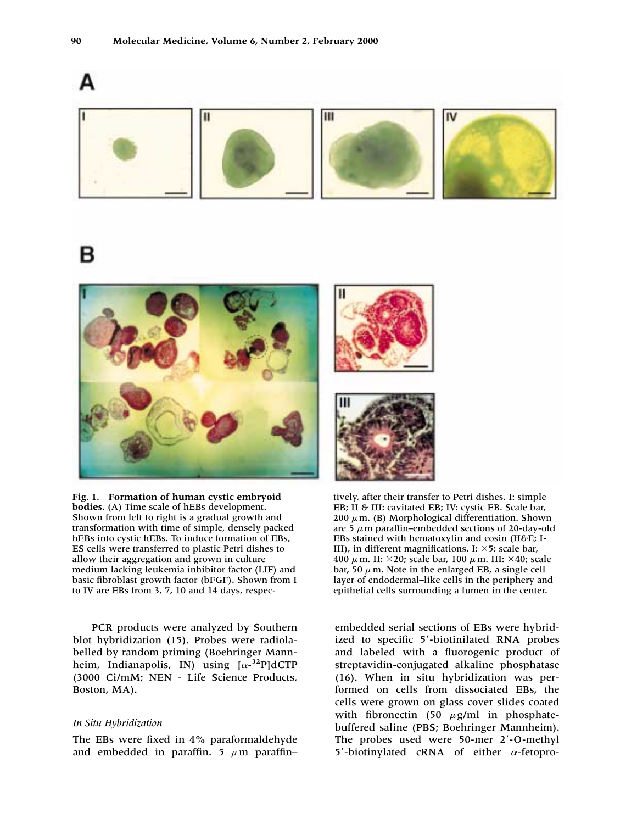

в



**Fig. 1. Formation of human cystic embryoid bodies.** (A) Time scale of hEBs development. Shown from left to right is a gradual growth and transformation with time of simple, densely packed hEBs into cystic hEBs. To induce formation of EBs, ES cells were transferred to plastic Petri dishes to allow their aggregation and grown in culture medium lacking leukemia inhibitor factor (LIF) and basic fibroblast growth factor (bFGF). Shown from I to IV are EBs from 3, 7, 10 and 14 days, respec-

PCR products were analyzed by Southern blot hybridization (15). Probes were radiolabelled by random priming (Boehringer Mannheim, Indianapolis, IN) using  $[\alpha^{-3}$ <sup>2</sup>P]dCTP (3000 Ci/mM; NEN - Life Science Products, Boston, MA).

#### *In Situ Hybridization*

The EBs were fixed in 4% paraformaldehyde and embedded in paraffin. 5  $\mu$ m paraffin-

tively, after their transfer to Petri dishes. I: simple EB; II & III: cavitated EB; IV: cystic EB. Scale bar, 200  $\mu$  m. (B) Morphological differentiation. Shown are 5  $\mu$  m paraffin–embedded sections of 20-day-old EBs stained with hematoxylin and eosin (H&E; I-III), in different magnifications. I:  $\times$ 5; scale bar, 400  $\mu$  m. II:  $\times$ 20; scale bar, 100  $\mu$  m. III:  $\times$ 40; scale bar, 50  $\mu$  m. Note in the enlarged EB, a single cell layer of endodermal–like cells in the periphery and epithelial cells surrounding a lumen in the center.

embedded serial sections of EBs were hybridized to specific 5'-biotinilated RNA probes and labeled with a fluorogenic product of streptavidin-conjugated alkaline phosphatase (16). When in situ hybridization was performed on cells from dissociated EBs, the cells were grown on glass cover slides coated with fibronectin (50  $\mu$ g/ml in phosphatebuffered saline (PBS; Boehringer Mannheim). The probes used were 50-mer 2'-O-methyl 5'-biotinylated cRNA of either  $\alpha$ -fetopro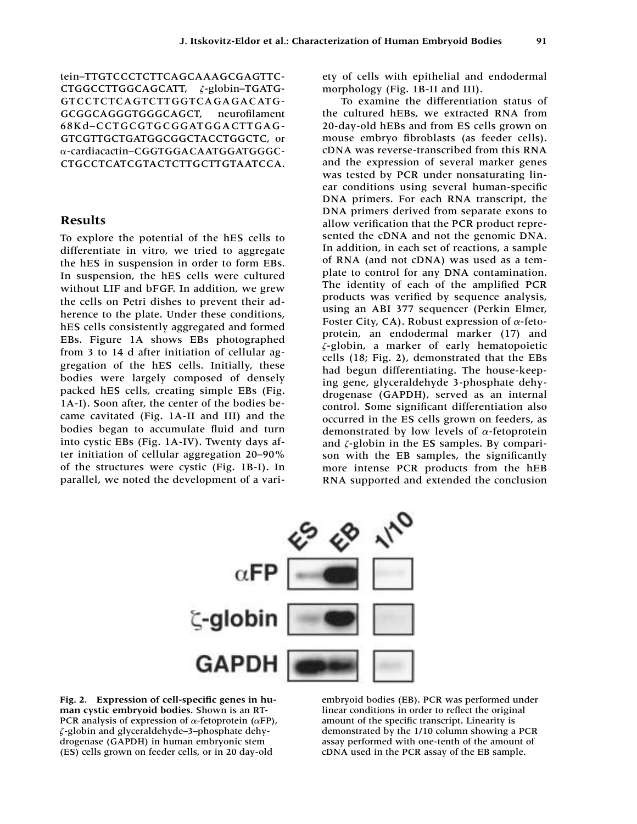tein–TTGTCCCTCTTCAGCAAAGCGAGTTC-CTGGCCTTGGCAGCATT,  $\zeta$ -globin-TGATG-GTCCTCTCAGTCTTGGTCAGAGACATG-GCGGCAGGGTGGGCAGCT, neurofilament 68Kd–CCTGCGTGCGGATGGACTTGAG-GTCGTTGCTGATGGCGGCTACCTGGCTC, or -cardiacactin–CGGTGGACAATGGATGGGC-CTGCCTCATCGTACTCTTGCTTGTAATCCA.

### **Results**

To explore the potential of the hES cells to differentiate in vitro, we tried to aggregate the hES in suspension in order to form EBs. In suspension, the hES cells were cultured without LIF and bFGF. In addition, we grew the cells on Petri dishes to prevent their adherence to the plate. Under these conditions, hES cells consistently aggregated and formed EBs. Figure 1A shows EBs photographed from 3 to 14 d after initiation of cellular aggregation of the hES cells. Initially, these bodies were largely composed of densely packed hES cells, creating simple EBs (Fig. 1A-I). Soon after, the center of the bodies became cavitated (Fig. 1A-II and III) and the bodies began to accumulate fluid and turn into cystic EBs (Fig. 1A-IV). Twenty days after initiation of cellular aggregation 20–90% of the structures were cystic (Fig. 1B-I). In parallel, we noted the development of a variety of cells with epithelial and endodermal morphology (Fig. 1B-II and III).

To examine the differentiation status of the cultured hEBs, we extracted RNA from 20-day-old hEBs and from ES cells grown on mouse embryo fibroblasts (as feeder cells). cDNA was reverse-transcribed from this RNA and the expression of several marker genes was tested by PCR under nonsaturating linear conditions using several human-specific DNA primers. For each RNA transcript, the DNA primers derived from separate exons to allow verification that the PCR product represented the cDNA and not the genomic DNA. In addition, in each set of reactions, a sample of RNA (and not cDNA) was used as a template to control for any DNA contamination. The identity of each of the amplified PCR products was verified by sequence analysis, using an ABI 377 sequencer (Perkin Elmer, Foster City, CA). Robust expression of  $\alpha$ -fetoprotein, an endodermal marker (17) and *-*-globin, a marker of early hematopoietic cells (18; Fig. 2), demonstrated that the EBs had begun differentiating. The house-keeping gene, glyceraldehyde 3-phosphate dehydrogenase (GAPDH), served as an internal control. Some significant differentiation also occurred in the ES cells grown on feeders, as demonstrated by low levels of  $\alpha$ -fetoprotein and  $\zeta$ -globin in the ES samples. By comparison with the EB samples, the significantly more intense PCR products from the hEB RNA supported and extended the conclusion



**Fig. 2. Expression of cell-specific genes in human cystic embryoid bodies.** Shown is an RT-PCR analysis of expression of  $\alpha$ -fetoprotein ( $\alpha$ FP), *-*-globin and glyceraldehyde–3–phosphate dehydrogenase (GAPDH) in human embryonic stem (ES) cells grown on feeder cells, or in 20 day-old

embryoid bodies (EB). PCR was performed under linear conditions in order to reflect the original amount of the specific transcript. Linearity is demonstrated by the 1/10 column showing a PCR assay performed with one-tenth of the amount of cDNA used in the PCR assay of the EB sample.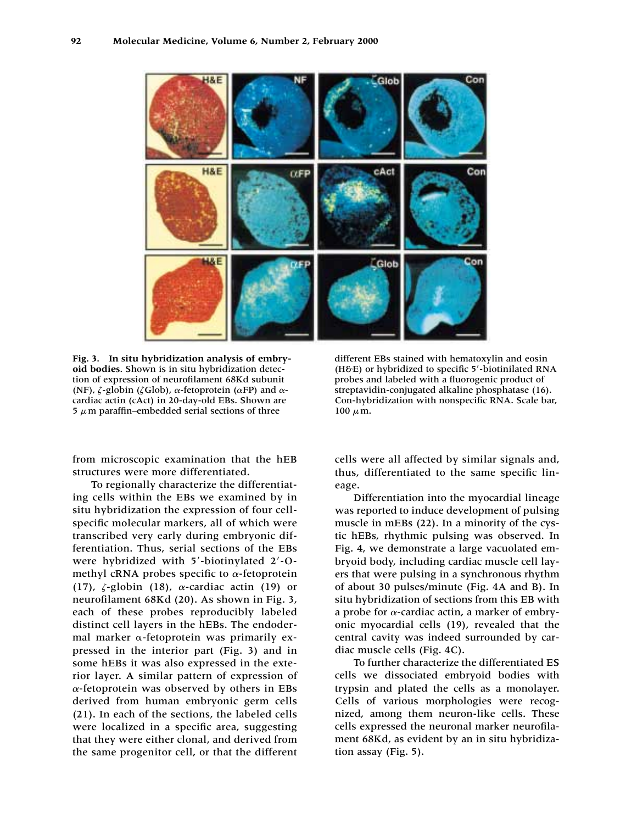

**Fig. 3. In situ hybridization analysis of embryoid bodies.** Shown is in situ hybridization detection of expression of neurofilament 68Kd subunit (NF),  $\zeta$ -globin ( $\zeta$ Glob),  $\alpha$ -fetoprotein ( $\alpha$ FP) and  $\alpha$ cardiac actin (cAct) in 20-day-old EBs. Shown are 5  $\mu$  m paraffin–embedded serial sections of three

from microscopic examination that the hEB structures were more differentiated.

To regionally characterize the differentiating cells within the EBs we examined by in situ hybridization the expression of four cellspecific molecular markers, all of which were transcribed very early during embryonic differentiation. Thus, serial sections of the EBs were hybridized with 5'-biotinylated 2'-Omethyl cRNA probes specific to  $\alpha$ -fetoprotein (17),  $\zeta$ -globin (18),  $\alpha$ -cardiac actin (19) or neurofilament 68Kd (20). As shown in Fig. 3, each of these probes reproducibly labeled distinct cell layers in the hEBs. The endodermal marker  $\alpha$ -fetoprotein was primarily expressed in the interior part (Fig. 3) and in some hEBs it was also expressed in the exterior layer. A similar pattern of expression of  $\alpha$ -fetoprotein was observed by others in EBs derived from human embryonic germ cells (21). In each of the sections, the labeled cells were localized in a specific area, suggesting that they were either clonal, and derived from the same progenitor cell, or that the different

different EBs stained with hematoxylin and eosin (H&E) or hybridized to specific 5-biotinilated RNA probes and labeled with a fluorogenic product of streptavidin-conjugated alkaline phosphatase (16). Con-hybridization with nonspecific RNA. Scale bar, 100  $\mu$  m.

cells were all affected by similar signals and, thus, differentiated to the same specific lineage.

Differentiation into the myocardial lineage was reported to induce development of pulsing muscle in mEBs (22). In a minority of the cystic hEBs, rhythmic pulsing was observed. In Fig. 4, we demonstrate a large vacuolated embryoid body, including cardiac muscle cell layers that were pulsing in a synchronous rhythm of about 30 pulses/minute (Fig. 4A and B). In situ hybridization of sections from this EB with a probe for  $\alpha$ -cardiac actin, a marker of embryonic myocardial cells (19), revealed that the central cavity was indeed surrounded by cardiac muscle cells (Fig. 4C).

To further characterize the differentiated ES cells we dissociated embryoid bodies with trypsin and plated the cells as a monolayer. Cells of various morphologies were recognized, among them neuron-like cells. These cells expressed the neuronal marker neurofilament 68Kd, as evident by an in situ hybridization assay (Fig. 5).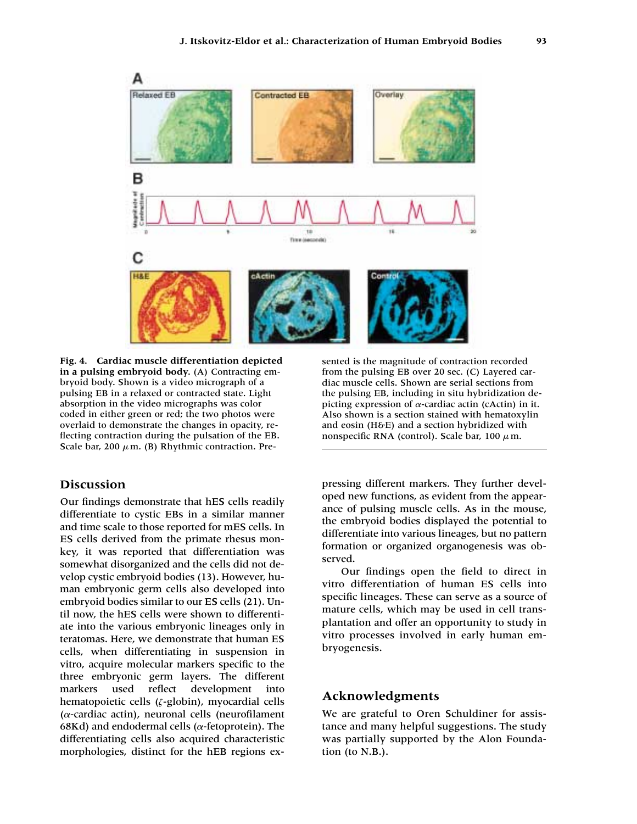

**Fig. 4. Cardiac muscle differentiation depicted in a pulsing embryoid body.** (A) Contracting embryoid body. Shown is a video micrograph of a pulsing EB in a relaxed or contracted state. Light absorption in the video micrographs was color coded in either green or red; the two photos were overlaid to demonstrate the changes in opacity, reflecting contraction during the pulsation of the EB. Scale bar, 200  $\mu$  m. (B) Rhythmic contraction. Pre-

## **Discussion**

Our findings demonstrate that hES cells readily differentiate to cystic EBs in a similar manner and time scale to those reported for mES cells. In ES cells derived from the primate rhesus monkey, it was reported that differentiation was somewhat disorganized and the cells did not develop cystic embryoid bodies (13). However, human embryonic germ cells also developed into embryoid bodies similar to our ES cells (21). Until now, the hES cells were shown to differentiate into the various embryonic lineages only in teratomas. Here, we demonstrate that human ES cells, when differentiating in suspension in vitro, acquire molecular markers specific to the three embryonic germ layers. The different markers used reflect development into hematopoietic cells (*-*-globin), myocardial cells  $(\alpha$ -cardiac actin), neuronal cells (neurofilament 68Kd) and endodermal cells ( $\alpha$ -fetoprotein). The differentiating cells also acquired characteristic morphologies, distinct for the hEB regions exsented is the magnitude of contraction recorded from the pulsing EB over 20 sec. (C) Layered cardiac muscle cells. Shown are serial sections from the pulsing EB, including in situ hybridization depicting expression of  $\alpha$ -cardiac actin (cActin) in it. Also shown is a section stained with hematoxylin and eosin ( $H\delta E$ ) and a section hybridized with nonspecific RNA (control). Scale bar, 100  $\mu$ m.

pressing different markers. They further developed new functions, as evident from the appearance of pulsing muscle cells. As in the mouse, the embryoid bodies displayed the potential to differentiate into various lineages, but no pattern formation or organized organogenesis was observed.

Our findings open the field to direct in vitro differentiation of human ES cells into specific lineages. These can serve as a source of mature cells, which may be used in cell transplantation and offer an opportunity to study in vitro processes involved in early human embryogenesis.

## **Acknowledgments**

We are grateful to Oren Schuldiner for assistance and many helpful suggestions. The study was partially supported by the Alon Foundation (to N.B.).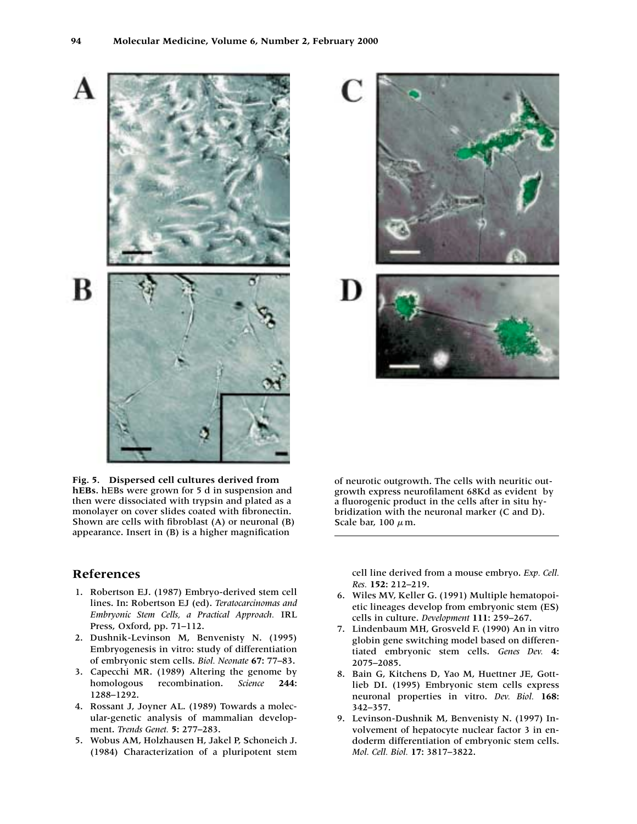B



### **References**

- 1. Robertson EJ. (1987) Embryo-derived stem cell lines. In: Robertson EJ (ed). *Teratocarcinomas and Embryonic Stem Cells, a Practical Approach.* IRL Press, Oxford, pp. 71–112.
- 2. Dushnik-Levinson M, Benvenisty N. (1995) Embryogenesis in vitro: study of differentiation of embryonic stem cells. *Biol. Neonate* **67:** 77–83.
- 3. Capecchi MR. (1989) Altering the genome by homologous recombination. *Science* **244:** 1288–1292.
- 4. Rossant J, Joyner AL. (1989) Towards a molecular-genetic analysis of mammalian development. *Trends Genet.* **5:** 277–283.
- 5. Wobus AM, Holzhausen H, Jakel P, Schoneich J. (1984) Characterization of a pluripotent stem



D



of neurotic outgrowth. The cells with neuritic outgrowth express neurofilament 68Kd as evident by a fluorogenic product in the cells after in situ hybridization with the neuronal marker (C and D). Scale bar, 100  $\mu$  m.

cell line derived from a mouse embryo. *Exp. Cell. Res.* **152:** 212–219.

- 6. Wiles MV, Keller G. (1991) Multiple hematopoietic lineages develop from embryonic stem (ES) cells in culture. *Development* **111:** 259–267.
- 7. Lindenbaum MH, Grosveld F. (1990) An in vitro globin gene switching model based on differentiated embryonic stem cells. *Genes Dev.* **4:** 2075–2085.
- 8. Bain G, Kitchens D, Yao M, Huettner JE, Gottlieb DI. (1995) Embryonic stem cells express neuronal properties in vitro. *Dev. Biol.* **168:** 342–357.
- 9. Levinson-Dushnik M, Benvenisty N. (1997) Involvement of hepatocyte nuclear factor 3 in endoderm differentiation of embryonic stem cells. *Mol. Cell. Biol.* **17:** 3817–3822.